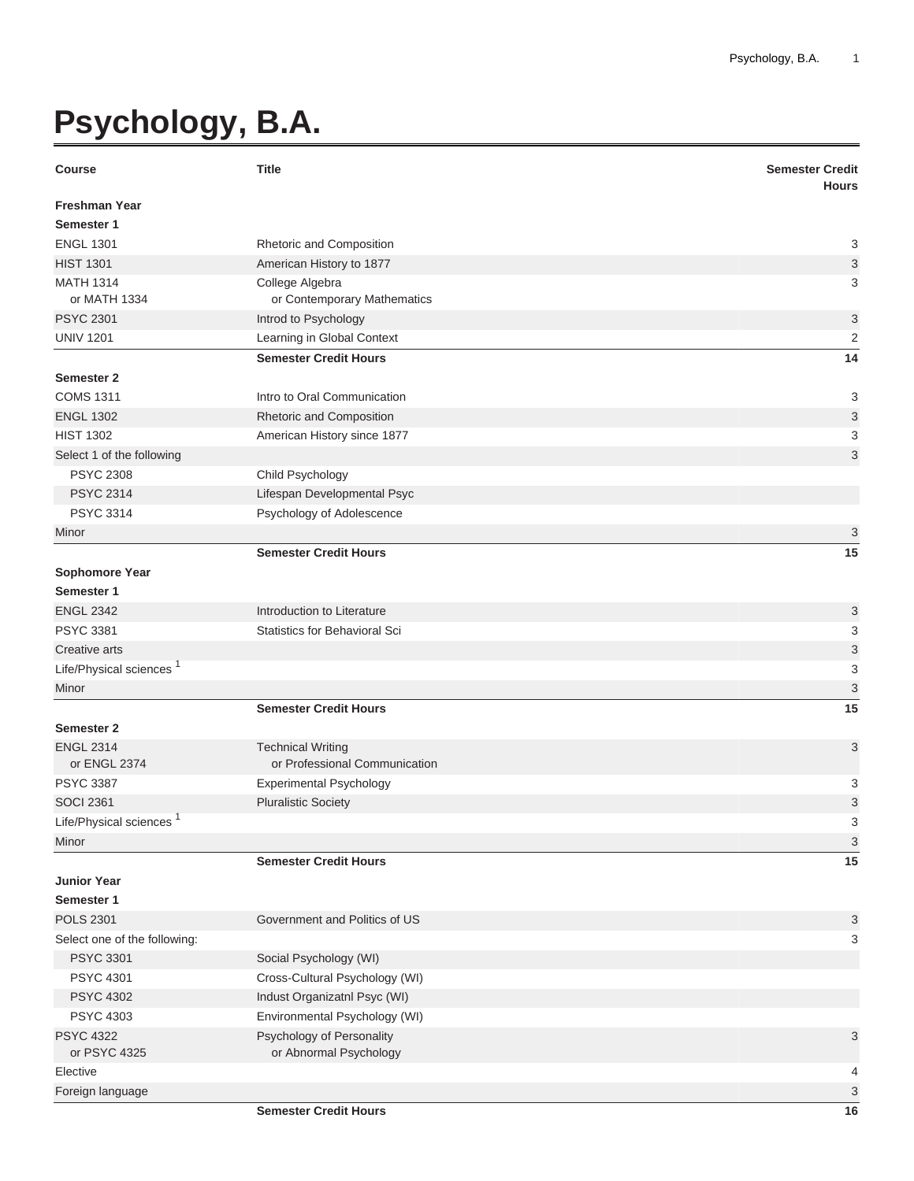## **Psychology, B.A.**

| <b>Course</b>                       | <b>Title</b>                                              | <b>Semester Credit</b><br><b>Hours</b> |
|-------------------------------------|-----------------------------------------------------------|----------------------------------------|
| <b>Freshman Year</b>                |                                                           |                                        |
| Semester 1                          |                                                           |                                        |
| <b>ENGL 1301</b>                    | Rhetoric and Composition                                  | 3                                      |
| <b>HIST 1301</b>                    | American History to 1877                                  | $\ensuremath{\mathsf{3}}$              |
| <b>MATH 1314</b><br>or MATH 1334    | College Algebra<br>or Contemporary Mathematics            | 3                                      |
| <b>PSYC 2301</b>                    | Introd to Psychology                                      | 3                                      |
| <b>UNIV 1201</b>                    | Learning in Global Context                                | $\overline{c}$                         |
|                                     | <b>Semester Credit Hours</b>                              | 14                                     |
| <b>Semester 2</b>                   |                                                           |                                        |
| <b>COMS 1311</b>                    | Intro to Oral Communication                               | 3                                      |
| <b>ENGL 1302</b>                    | Rhetoric and Composition                                  | 3                                      |
| <b>HIST 1302</b>                    | American History since 1877                               | 3                                      |
| Select 1 of the following           |                                                           | 3                                      |
| <b>PSYC 2308</b>                    | Child Psychology                                          |                                        |
| <b>PSYC 2314</b>                    | Lifespan Developmental Psyc                               |                                        |
| <b>PSYC 3314</b>                    | Psychology of Adolescence                                 |                                        |
| Minor                               |                                                           | 3                                      |
|                                     | <b>Semester Credit Hours</b>                              | 15                                     |
| <b>Sophomore Year</b>               |                                                           |                                        |
| Semester 1                          |                                                           |                                        |
| <b>ENGL 2342</b>                    | Introduction to Literature                                | 3                                      |
| <b>PSYC 3381</b>                    | Statistics for Behavioral Sci                             | 3                                      |
| Creative arts                       |                                                           | 3                                      |
| Life/Physical sciences <sup>1</sup> |                                                           | 3                                      |
| Minor                               |                                                           | $\mathsf 3$                            |
|                                     | <b>Semester Credit Hours</b>                              | 15                                     |
| <b>Semester 2</b>                   |                                                           |                                        |
| <b>ENGL 2314</b><br>or ENGL 2374    | <b>Technical Writing</b><br>or Professional Communication | 3                                      |
| <b>PSYC 3387</b>                    | <b>Experimental Psychology</b>                            | 3                                      |
| <b>SOCI 2361</b>                    | <b>Pluralistic Society</b>                                | 3                                      |
| Life/Physical sciences              |                                                           | 3                                      |
| Minor                               |                                                           | $\ensuremath{\mathsf{3}}$              |
|                                     | <b>Semester Credit Hours</b>                              | 15                                     |
| <b>Junior Year</b>                  |                                                           |                                        |
| Semester 1                          |                                                           |                                        |
| <b>POLS 2301</b>                    | Government and Politics of US                             | 3                                      |
| Select one of the following:        |                                                           | 3                                      |
| <b>PSYC 3301</b>                    | Social Psychology (WI)                                    |                                        |
| <b>PSYC 4301</b>                    | Cross-Cultural Psychology (WI)                            |                                        |
| <b>PSYC 4302</b>                    | Indust Organizatnl Psyc (WI)                              |                                        |
| <b>PSYC 4303</b>                    | Environmental Psychology (WI)                             |                                        |
| <b>PSYC 4322</b><br>or PSYC 4325    | Psychology of Personality<br>or Abnormal Psychology       | 3                                      |
| Elective                            |                                                           | 4                                      |
| Foreign language                    |                                                           | 3                                      |
|                                     | <b>Semester Credit Hours</b>                              | 16                                     |